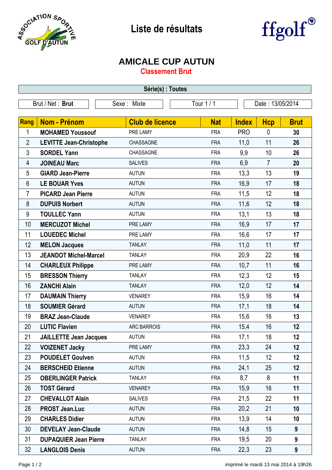

## **Liste de résultats**



## **AMICALE CUP AUTUN**

**Classement Brut**

| Série(s) : Toutes |                                |                        |            |              |                  |             |  |  |  |
|-------------------|--------------------------------|------------------------|------------|--------------|------------------|-------------|--|--|--|
| Brut / Net: Brut  |                                | Sexe: Mixte            | Tour 1/1   |              | Date: 13/05/2014 |             |  |  |  |
| <b>Rang</b>       | Nom - Prénom                   | <b>Club de licence</b> | <b>Nat</b> | <b>Index</b> | <b>Hcp</b>       | <b>Brut</b> |  |  |  |
| 1                 | <b>MOHAMED Youssouf</b>        | PRE LAMY               | <b>FRA</b> | <b>PRO</b>   | $\mathbf{0}$     | 30          |  |  |  |
| $\overline{2}$    | <b>LEVITTE Jean-Christophe</b> | CHASSAGNE              | <b>FRA</b> | 11,0         | 11               | 26          |  |  |  |
| 3                 | <b>SORDEL Yann</b>             | CHASSAGNE              | <b>FRA</b> | 9,9          | 10               | 26          |  |  |  |
| $\overline{4}$    | <b>JOINEAU Marc</b>            | <b>SALIVES</b>         | <b>FRA</b> | 6,9          | $\overline{7}$   | 20          |  |  |  |
| 5                 | <b>GIARD Jean-Pierre</b>       | <b>AUTUN</b>           | <b>FRA</b> | 13,3         | 13               | 19          |  |  |  |
| 6                 | <b>LE BOUAR Yves</b>           | <b>AUTUN</b>           | <b>FRA</b> | 16,9         | 17               | 18          |  |  |  |
| $\overline{7}$    | <b>PICARD Jean Pierre</b>      | <b>AUTUN</b>           | <b>FRA</b> | 11,5         | 12               | 18          |  |  |  |
| 8                 | <b>DUPUIS Norbert</b>          | <b>AUTUN</b>           | <b>FRA</b> | 11,6         | 12               | 18          |  |  |  |
| 9                 | <b>TOULLEC Yann</b>            | <b>AUTUN</b>           | <b>FRA</b> | 13,1         | 13               | 18          |  |  |  |
| 10                | <b>MERCUZOT Michel</b>         | PRE LAMY               | <b>FRA</b> | 16,9         | 17               | 17          |  |  |  |
| 11                | <b>LOUEDEC Michel</b>          | PRE LAMY               | <b>FRA</b> | 16,6         | 17               | 17          |  |  |  |
| 12                | <b>MELON Jacques</b>           | <b>TANLAY</b>          | <b>FRA</b> | 11,0         | 11               | 17          |  |  |  |
| 13                | <b>JEANDOT Michel-Marcel</b>   | <b>TANLAY</b>          | <b>FRA</b> | 20,9         | 22               | 16          |  |  |  |
| 14                | <b>CHARLEUX Philippe</b>       | PRE LAMY               | <b>FRA</b> | 10,7         | 11               | 16          |  |  |  |
| 15                | <b>BRESSON Thierry</b>         | <b>TANLAY</b>          | <b>FRA</b> | 12,3         | 12               | 15          |  |  |  |
| 16                | <b>ZANCHI Alain</b>            | <b>TANLAY</b>          | <b>FRA</b> | 12,0         | 12               | 14          |  |  |  |
| 17                | <b>DAUMAIN Thierry</b>         | <b>VENAREY</b>         | <b>FRA</b> | 15,9         | 16               | 14          |  |  |  |
| 18                | <b>SOUMIER Gérard</b>          | <b>AUTUN</b>           | <b>FRA</b> | 17,1         | 18               | 14          |  |  |  |
| 19                | <b>BRAZ Jean-Claude</b>        | <b>VENAREY</b>         | <b>FRA</b> | 15,6         | 16               | 13          |  |  |  |
| 20                | <b>LUTIC Flavien</b>           | <b>ARC BARROIS</b>     | <b>FRA</b> | 15,4         | 16               | 12          |  |  |  |
| 21                | <b>JAILLETTE Jean Jacques</b>  | AUTUN                  | FRA        | 17,1         | 18               | 12          |  |  |  |
| 22                | <b>VOIZENET Jacky</b>          | PRE LAMY               | <b>FRA</b> | 23,3         | 24               | 12          |  |  |  |
| 23                | <b>POUDELET Goulven</b>        | <b>AUTUN</b>           | <b>FRA</b> | 11,5         | 12               | 12          |  |  |  |
| 24                | <b>BERSCHEID Etienne</b>       | <b>AUTUN</b>           | <b>FRA</b> | 24,1         | 25               | 12          |  |  |  |
| 25                | <b>OBERLINGER Patrick</b>      | <b>TANLAY</b>          | <b>FRA</b> | 8,7          | 8                | 11          |  |  |  |
| 26                | <b>TOST Gérard</b>             | <b>VENAREY</b>         | <b>FRA</b> | 15,9         | 16               | 11          |  |  |  |
| 27                | <b>CHEVALLOT Alain</b>         | <b>SALIVES</b>         | <b>FRA</b> | 21,5         | 22               | 11          |  |  |  |
| 28                | <b>PROST Jean.Luc</b>          | <b>AUTUN</b>           | <b>FRA</b> | 20,2         | 21               | 10          |  |  |  |
| 29                | <b>CHARLES Didier</b>          | <b>AUTUN</b>           | <b>FRA</b> | 13,9         | 14               | 10          |  |  |  |
| 30                | <b>DEVELAY Jean-Claude</b>     | <b>AUTUN</b>           | <b>FRA</b> | 14,8         | 15               | 9           |  |  |  |
| 31                | <b>DUPAQUIER Jean Pierre</b>   | <b>TANLAY</b>          | <b>FRA</b> | 19,5         | 20               | 9           |  |  |  |
| 32                | <b>LANGLOIS Denis</b>          | <b>AUTUN</b>           | <b>FRA</b> | 22,3         | 23               | 9           |  |  |  |